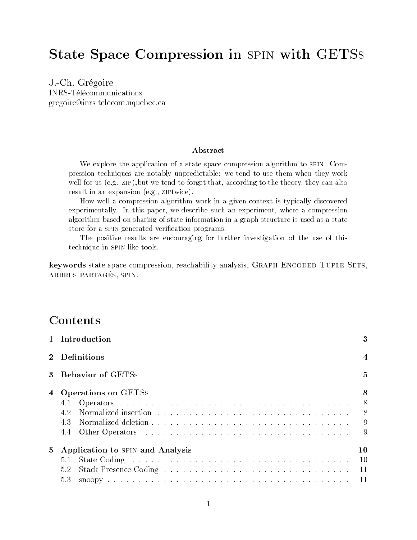# State Space Compression in spin with GETSs

J.-Ch. GregoireINRS-Telecommunications gregoire@inrs-telecom.uquebec.ca

### Abstract

We explore the application of a state space compression algorithm to spin. Compression techniques are notably unpredictable: we tend to use them when they workwell for us (e.g. zip),but we tend to forget that, according to the theory, they can also result in an expansion (e.g., ziptwice).

How well a compression algorithm work in a given context is typically discoveredexperimentally. In this paper, we describe such an experiment, where a compressionalgorithm based on sharing of state information in a graph structure is used as a statestore for a spin-generated verication programs.

The positive results are encouraging for further investigation of the use of thistechnique in spin-like tools.

keywords state space compression, reachability analysis, GRAPH ENCODED TUPLE SETS, arbres partages, spin.

### **Contents**

|                 | 1 Introduction                                        |                |  |
|-----------------|-------------------------------------------------------|----------------|--|
|                 | 2 Definitions                                         |                |  |
| $3^{\circ}$     | <b>Behavior of GETSS</b>                              |                |  |
|                 | 4 Operations on GETSs<br>4.1<br>4.2                   | 9<br>9         |  |
| $5\overline{)}$ | Application to SPIN and Analysis<br>5.1<br>5.2<br>53. | 10<br>10<br>11 |  |

5.3 snoopy ....................................... 11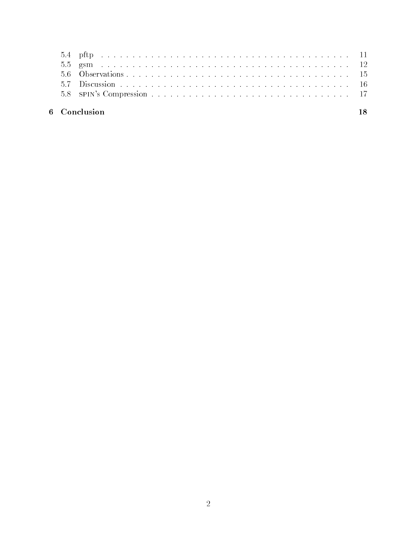| 6 Conclusion |  |
|--------------|--|
|              |  |
|              |  |
|              |  |
|              |  |
|              |  |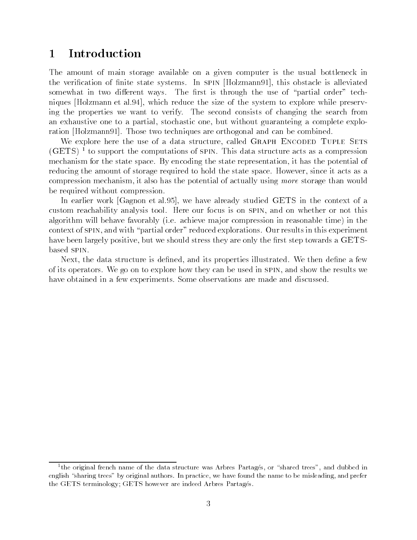#### **Introduction**  $\mathbf{1}$

The amount of main storage available on a given computer is the usual bottleneck in the verication of nite state systems. In spin [Holzmann91], this obstacle is alleviated somewhat in two different ways. The first is through the use of "partial order" techniques [Holzmann et al.94], which reduce the size of the system to explore while preserving the properties we want to verify. The second consists of changing the search from an exhaustive one to a partial, stochastic one, but without guaranteing a complete exploration [Holzmann91]. Those two techniques are orthogonal and can be combined.

We explore here the use of a data structure, called GRAPH ENCODED TUPLE SETS (GETS) <sup>1</sup> to support the computations of spin. This data structure acts as a compression mechanism for the state space. By encoding the state representation, it has the potential of reducing the amount of storage required to hold the state space. However, since it acts as a compression mechanism, it also has the potential of actually using more storage than would be required without compression.

In earlier work [Gagnon et al.95], we have already studied GETS in the context of a custom reachability analysis tool. Here our focus is on spin, and on whether or not this algorithm will behave favorably (i.e. achieve ma jor compression in reasonable time) in the context of spin, and with \partial order" reduced explorations. Our results in this experiment have been largely positive, but we should stress they are only the first step towards a GETSbased spin.

Next, the data structure is defined, and its properties illustrated. We then define a few of its operators. We go on to explore how they can be used in spin, and show the results we have obtained in a few experiments. Some observations are made and discussed.

the original french name of the data structure was Arbres Partages, or  $\,$  shared trees , and dubbed in  $\,$ english "sharing trees" by original authors. In practice, we have found the name to be misleading, and prefer the GETS terminology; GETS however are indeed Arbres Partagés.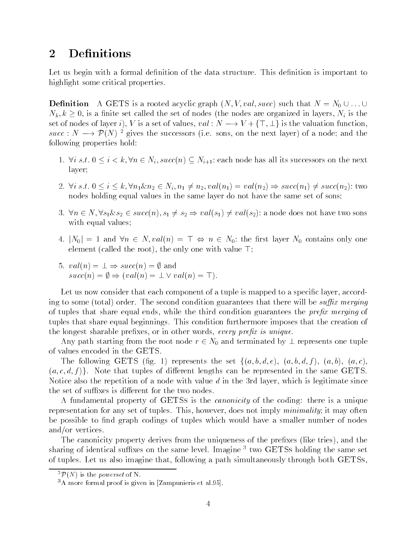### 2 Definitions

Let us begin with a formal definition of the data structure. This definition is important to highlight some critical properties.

**Definition** A GETS is a rooted acyclic graph  $(N, V, val, succ)$  such that  $N = N_0 \cup ... \cup$  $N_k, k \geq 0$ , is a finite set called the set of nodes (the nodes are organized in layers,  $N_i$  is the set of nodes of layer i), V is a set of values,  $val: N \longrightarrow V + \{\top, \bot\}$  is the valuation function,  $N_k, k \geq 0$ , is a finite se<br>set of nodes of layer *i*),<br>succ :  $N \longrightarrow \mathcal{P}(N)^2$ <sup>2</sup> gives the successors (i.e. sons, on the next layer) of a node; and the following properties hold:

- 1.  $\forall i \ s.t. \ 0 \leq i \lt k, \forall n \in N_i, succ(n) \subseteq N_{i+1}$ : each node has all its successors on the next layer;
- 2.  $\forall i \ s.t. \ 0 \leq i \leq k, \forall n_1 \& n_2 \in N_i, n_1 \neq n_2, val(n_1) = val(n_2) \Rightarrow succ(n_1) \neq succ(n_2): twc(n_2)$ nodes holding equal values in the same layer do not have the same set of sons;
- 3.  $\forall n \in N, \forall s_1 \& s_2 \in succ(n), s_1 \neq s_2 \Rightarrow val(s_1) \neq val(s_2)$ : a node does not have two sons with equal values;
- 4.  $|N_0| = 1$  and  $\forall n \in N$ ,  $val(n) = \top \Leftrightarrow n \in N_0$ : the first layer  $N_0$  contains only one element (called the root), the only one with value  $\top$ ;<br>5.  $val(n) = \bot \Rightarrow succ(n) = \emptyset$  and
- 5.  $val(n) = \bot \Rightarrow succ(n) = \emptyset$  and<br> $succ(n) = \emptyset \Rightarrow (val(n) = \bot \vee val(n) = \top).$

Let us now consider that each component of a tuple is mapped to a specific layer, according to some (total) order. The second condition guarantees that there will be *suffix merging* of tuples that share equal ends, while the third condition guarantees the *prefix merging* of tuples that share equal beginnings. This condition furthermore imposes that the creation of the longest sharable prefixes, or in other words, every prefix is unique.

Any path starting from the root node  $r \in N_0$  and terminated by  $\perp$  represents one tuple of values encoded in the GETS.

The following GETS (fig. 1) represents the set  $\{(a, b, d, e), (a, b, d, f), (a, b), (a, c),\}$  $(a, c, d, f)$ . Note that tuples of different lengths can be represented in the same GETS. Notice also the repetition of a node with value  $d$  in the 3rd layer, which is legitimate since the set of suffixes is different for the two nodes.

A fundamental property of GETSs is the *canonicity* of the coding: there is a unique representation for any set of tuples. This, however, does not imply minimality; it may often be possible to find graph codings of tuples which would have a smaller number of nodes and/or vertices.

The canonicity property derives from the uniqueness of the prefixes (like tries), and the sharing of identical suffixes on the same level. Imagine  $3$  two GETSs holding the same set of tuples. Let us also imagine that, following a path simultaneously through both GETSs,

 ${}^{2}\mathcal{P}(N)$  is the *powerset* of N.

<sup>3</sup>A more formal proof is given in [Zampunieris et al.95].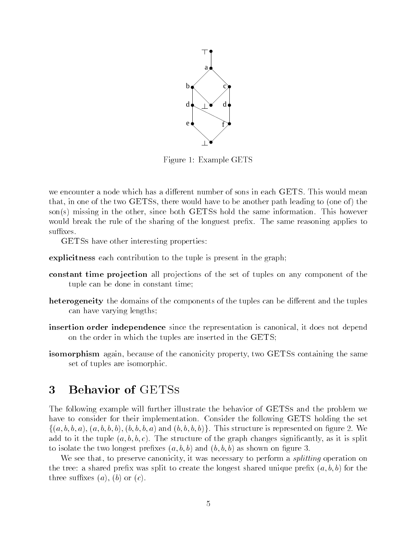

Figure 1: Example GETS

we encounter a node which has a different number of sons in each GETS. This would mean that, in one of the two GETSs, there would have to be another path leading to (one of) the son(s) missing in the other, since both GETSs hold the same information. This however would break the rule of the sharing of the longuest prefix. The same reasoning applies to suffixes.

GETSs have other interesting properties:

explicitness each contribution to the tuple is present in the graph;

- constant time projection all projections of the set of tuples on any component of the tuple can be done in constant time;
- heterogeneity the domains of the components of the tuples can be different and the tuples can have varying lengths;
- **insertion order independence** since the representation is canonical, it does not depend on the order in which the tuples are inserted in the GETS;
- isomorphism again, because of the canonicity property, two GETSs containing the same set of tuples are isomorphic.

### 3 Behavior of GETSs

The following example will further illustrate the behavior of GETSs and the problem we have to consider for their implementation. Consider the following GETS holding the set  $\{(a, b, b, a), (a, b, b, b), (b, b, b, a) \text{ and } (b, b, b, b)\}.$  This structure is represented on figure 2. We add to it the tuple  $(a, b, b, c)$ . The structure of the graph changes significantly, as it is split to isolate the two longest prefixes  $(a, b, b)$  and  $(b, b, b)$  as shown on figure 3.

We see that, to preserve canonicity, it was necessary to perform a *splitting* operation on the tree: a shared prefix was split to create the longest shared unique prefix  $(a, b, b)$  for the three suffixes  $(a)$ ,  $(b)$  or  $(c)$ .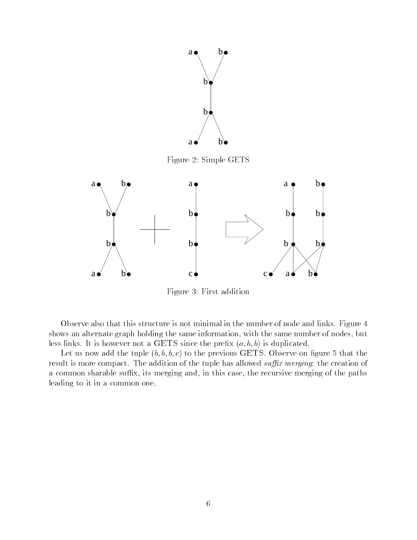

Figure 2: Simple GETS



Figure 3: First addition

Observe also that this structure is not minimal in the number of node and links. Figure 4 shows an alternate graph holding the same information, with the same number of nodes, but less links. It is however not a GETS since the prefix  $(a, b, b)$  is duplicated.

Let us now add the tuple  $(b, b, b, c)$  to the previous GETS. Observe on figure 5 that the result is more compact. The addition of the tuple has allowed *suffix merging*: the creation of a common sharable suffix, its merging and, in this case, the recursive merging of the paths leading to it in a common one.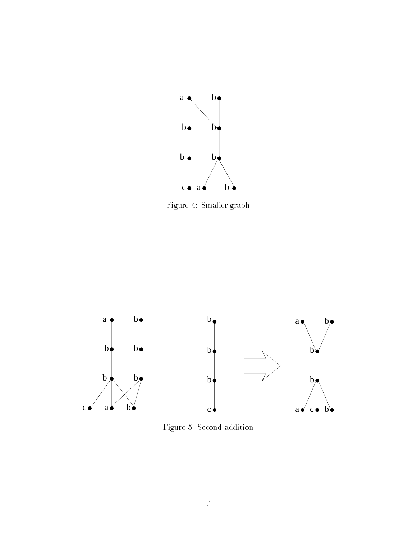

Figure 4: Smaller graph



Figure 5: Second addition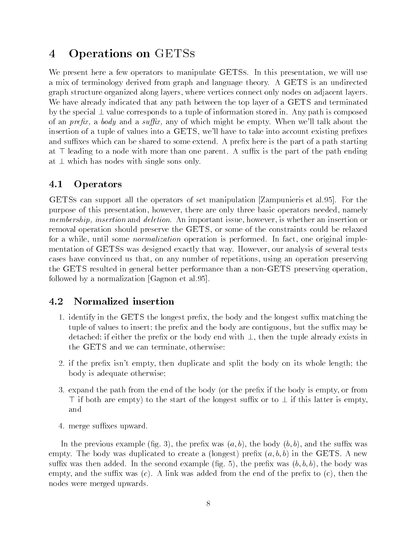## 4 Operations on GETSs

We present here a few operators to manipulate GETSs. In this presentation, we will use a mix of terminology derived from graph and language theory. A GETS is an undirected graph structure organized along layers, where vertices connect only nodes on adjacent layers. We have already indicated that any path between the top layer of a GETS and terminated by the special  $\perp$  value corresponds to a tuple of information stored in. Any path is composed of an *prefix*, a *body* and a *suffix*, any of which might be empty. When we'll talk about the insertion of a tuple of values into a GETS, we'll have to take into account existing prefixes and suffixes which can be shared to some extend. A prefix here is the part of a path starting at  $\top$  leading to a node with more than one parent. A suffix is the part of the path ending at  $\perp$  which has nodes with single sons only.

#### 4.1Operators

GETSs can support all the operators of set manipulation [Zampunieris et al.95]. For the purpose of this presentation, however, there are only three basic operators needed, namely membership, insertion and deletion. An important issue, however, is whether an insertion or removal operation should preserve the GETS, or some of the constraints could be relaxed for a while, until some normalization operation is performed. In fact, one original implementation of GETSs was designed exactly that way. However, our analysis of several tests cases have convinced us that, on any number of repetitions, using an operation preserving the GETS resulted in general better performance than a non-GETS preserving operation, followed by a normalization [Gagnon et al.95].

#### 4.2Normalized insertion

- 1. identify in the GETS the longest prefix, the body and the longest suffix matching the tuple of values to insert; the prefix and the body are contiguous, but the suffix may be detached; if either the prefix or the body end with  $\perp$ , then the tuple already exists in the GETS and we can terminate, otherwise:
- 2. if the prefix isn't empty, then duplicate and split the body on its whole length; the body is adequate otherwise;
- 3. expand the path from the end of the body (or the prefix if the body is empty, or from  $\top$  if both are empty) to the start of the longest suffix or to  $\bot$  if this latter is empty,
- 4. merge suffixes upward.

In the previous example (fig. 3), the prefix was  $(a, b)$ , the body  $(b, b)$ , and the suffix was empty. The body was duplicated to create a (longest) prefix  $(a, b, b)$  in the GETS. A new suffix was then added. In the second example (fig. 5), the prefix was  $(b, b, b)$ , the body was empty, and the suffix was  $(c)$ . A link was added from the end of the prefix to  $(c)$ , then the nodes were merged upwards.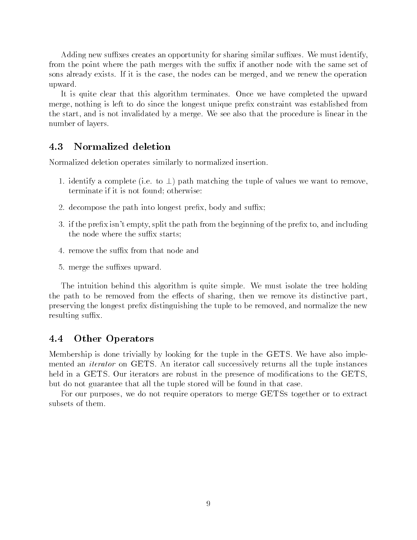Adding new suffixes creates an opportunity for sharing similar suffixes. We must identify, from the point where the path merges with the suffix if another node with the same set of sons already exists. If it is the case, the nodes can be merged, and we renew the operation upward.

It is quite clear that this algorithm terminates. Once we have completed the upward merge, nothing is left to do since the longest unique prex constraint was established from the start, and is not invalidated by a merge. We see also that the procedure is linear in the number of layers.

#### 4.3Normalized deletion

Normalized deletion operates similarly to normalized insertion.

- 1. identify a complete (i.e. to  $\perp$ ) path matching the tuple of values we want to remove, terminate if it is not found; otherwise:
- 2. decompose the path into longest prefix, body and suffix;
- 3. if the prefix isn't empty, split the path from the beginning of the prefix to, and including the node where the suffix starts;
- 4. remove the suffix from that node and
- 5. merge the suffixes upward.

The intuition behind this algorithm is quite simple. We must isolate the tree holding the path to be removed from the effects of sharing, then we remove its distinctive part. preserving the longest prefix distinguishing the tuple to be removed, and normalize the new resulting suffix.

#### 4.4Other Operators

Membership is done trivially by looking for the tuple in the GETS. We have also implemented an iterator on GETS. An iterator call successively returns all the tuple instances held in a GETS. Our iterators are robust in the presence of modifications to the GETS, but do not guarantee that all the tuple stored will be found in that case.

For our purposes, we do not require operators to merge GETSs together or to extract subsets of them.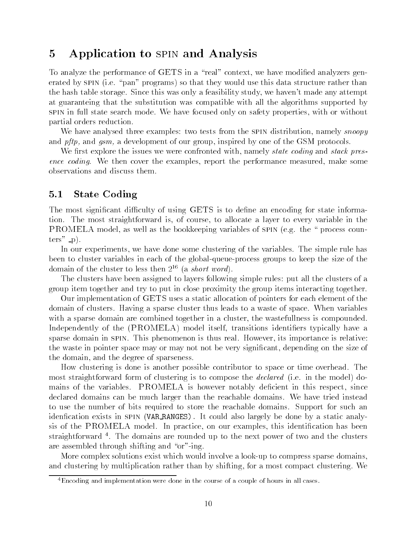### 5 Application to spin and Analysis

To analyze the performance of GETS in a "real" context, we have modified analyzers generated by SPIN (i.e. "pan" programs) so that they would use this data structure rather than the hash table storage. Since this was only a feasibility study, we haven't made any attempt at guaranteing that the substitution was compatible with all the algorithms supported by spin in full state search mode. We have focused only on safety properties, with or without partial orders reduction.

We have analysed three examples: two tests from the SPIN distribution, namely *snoopy* and *pftp*, and *gsm*, a development of our group, inspired by one of the GSM protocols.

We first explore the issues we were confronted with, namely *state coding* and *stack pres*ence coding. We then cover the examples, report the performance measured, make some observations and discuss them.

#### 5.1State Coding

The most significant difficulty of using GETS is to define an encoding for state information. The most straightforward is, of course, to allocate a layer to every variable in the PROMELA model, as well as the bookkeeping variables of SPIN (e.g. the " process coun $ters" - p$ ).

In our experiments, we have done some clustering of the variables. The simple rule has been to cluster variables in each of the global-queue-process groups to keep the size of the domain of the cluster to less then  $2^{16}$  (a *short word*).

The clusters have been assigned to layers following simple rules: put all the clusters of a group item together and try to put in close proximity the group items interacting together.

Our implementation of GETS uses a static allocation of pointers for each element of the domain of clusters. Having a sparse cluster thus leads to a waste of space. When variables with a sparse domain are combined together in a cluster, the wastefullness is compounded. Independently of the (PROMELA) model itself, transitions identifiers typically have a sparse domain in SPIN. This phenomenon is thus real. However, its importance is relative: the waste in pointer space may or may not not be very signicant, depending on the size of the domain, and the degree of sparseness.

How clustering is done is another possible contributor to space or time overhead. The most straightforward form of clustering is to compose the declared (i.e. in the model) domains of the variables. PROMELA is however notably deficient in this respect, since declared domains can be much larger than the reachable domains. We have tried instead to use the number of bits required to store the reachable domains. Support for such an idenfication exists in SPIN (VAR RANGES). It could also largely be done by a static analysis of the PROMELA model. In practice, on our examples, this identification has been straightforward 4. The domains are rounded up to the next power of two and the clusters are assembled through shifting and "or"-ing.

More complex solutions exist which would involve a look-up to compress sparse domains, and clustering by multiplication rather than by shifting, for a most compact clustering. We

<sup>4</sup>Encoding and implementation were done in the course of a couple of hours in all cases.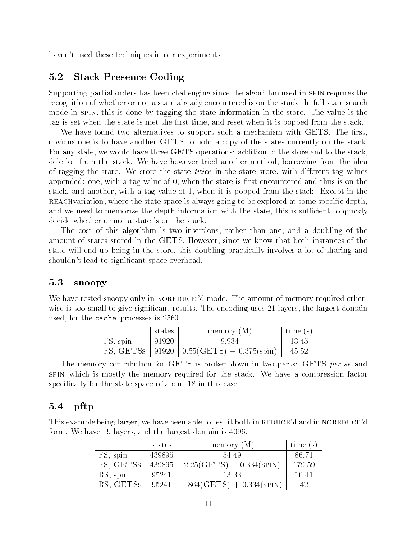haven't used these techniques in our experiments.

#### 5.2Stack Presence Coding

Supporting partial orders has been challenging since the algorithm used in spin requires the recognition of whether or not a state already encountered is on the stack. In full state search mode in spin, this is done by tagging the state information in the store. The value is the tag is set when the state is met the first time, and reset when it is popped from the stack.

We have found two alternatives to support such a mechanism with GETS. The first, obvious one is to have another GETS to hold a copy of the states currently on the stack. For any state, we would have three GETS operations: addition to the store and to the stack, deletion from the stack. We have however tried another method, borrowing from the idea of tagging the state. We store the state *twice* in the state store, with different tag values appended: one, with a tag value of  $0$ , when the state is first encountered and thus is on the stack, and another, with a tag value of 1, when it is popped from the stack. Except in the REACHvariation, where the state space is always going to be explored at some specific depth, and we need to memorize the depth information with the state, this is sufficient to quickly decide whether or not a state is on the stack.

The cost of this algorithm is two insertions, rather than one, and a doubling of the amount of states stored in the GETS. However, since we know that both instances of the state will end up being in the store, this doubling practically involves a lot of sharing and shouldn't lead to signicant space overhead.

#### 5.3snoopy

We have tested snoopy only in NOREDUCE 'd mode. The amount of memory required otherwise is too small to give significant results. The encoding uses 21 layers, the largest domain used, for the cache processes is 2560.

|          | states | memory (M)                                     | time $(s)$ |
|----------|--------|------------------------------------------------|------------|
| FS, spin | 91920  | 9.934                                          | -13.45     |
|          |        | FS, GETSS   91920   $0.55(GETS) + 0.375(spin)$ | 45.52      |

The memory contribution for GETS is broken down in two parts: GETS per se and spin which is mostly the memory required for the stack. We have a compression factor specifically for the state space of about 18 in this case.

#### 5.4pftp

This example being larger, we have been able to test it both in REDUCE'd and in NOREDUCE'd form. We have 19 layers, and the largest domain is 4096.

|           | states | memory $(M)$                | time (s) |  |
|-----------|--------|-----------------------------|----------|--|
| FS, spin  | 439895 | 54.49                       | 86.71    |  |
| FS, GETSS | 439895 | $2.25(GETS) + 0.334(SPIN)$  | 179.59   |  |
| RS, spin  | 95241  | 13.33                       | 10.41    |  |
| RS, GETSS | 95241  | $1.864(GETS) + 0.334(SPIN)$ | 42       |  |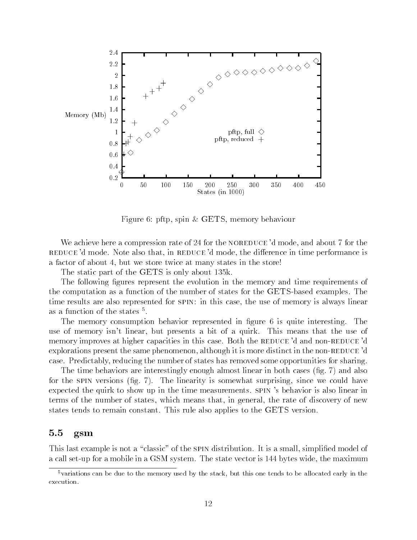

Figure 6: pftp, spin & GETS, memory behaviour

We achieve here a compression rate of 24 for the NOREDUCE  $d$  mode, and about 7 for the REDUCE 'd mode. Note also that, in REDUCE 'd mode, the difference in time performance is a factor of about 4, but we store twice at many states in the store!

The static part of the GETS is only about 135k.

The following figures represent the evolution in the memory and time requirements of the computation as a function of the number of states for the GETS-based examples. The time results are also represented for SPIN: in this case, the use of memory is always linear as a function of the states t. . .

The memory consumption behavior represented in figure 6 is quite interesting. The use of memory isn't linear, but presents a bit of a quirk. This means that the use of memory improves at higher capacities in this case. Both the REDUCE'd and non-REDUCE'd explorations present the same phenomenon, although it is more distinct in the non-REDUCE 'd case. Predictably, reducing the number of states has removed some opportunities for sharing.

The time behaviors are interestingly enough almost linear in both cases (fig. 7) and also for the SPIN versions  $(fig, 7)$ . The linearity is somewhat surprising, since we could have expected the quirk to show up in the time measurements. spin 's behavior is also linear in terms of the number of states, which means that, in general, the rate of discovery of new states tends to remain constant. This rule also applies to the GETS version.

#### 5.5gsm

This last example is not a "classic" of the SPIN distribution. It is a small, simplified model of a call set-up for a mobile in a GSM system. The state vector is 144 bytes wide, the maximum

<sup>5</sup>variations can be due to the memory used by the stack, but this one tends to be allocated early in the execution.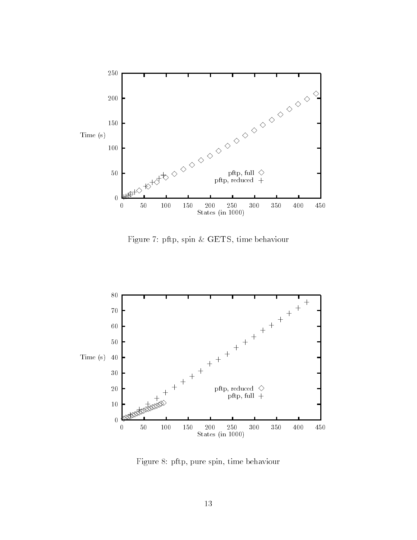

Figure 7: pftp, spin & GETS, time behaviour



Figure 8: pftp, pure spin, time behaviour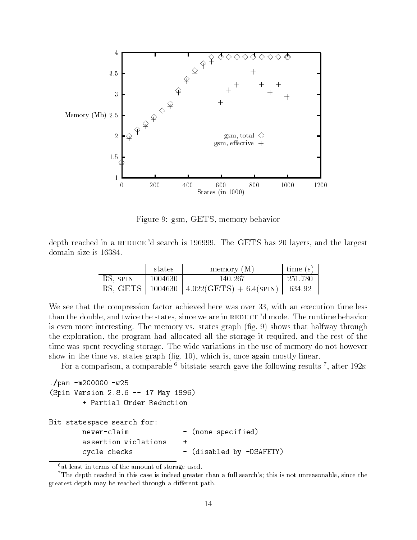

Figure 9: gsm, GETS, memory behavior

depth reached in a REDUCE 'd search is 196999. The GETS has 20 layers, and the largest domain size is 16384.

|          | states      | memory $(M)$                                          | $\frac{1}{2}$ time (s) |  |
|----------|-------------|-------------------------------------------------------|------------------------|--|
| RS, SPIN | - 1004630 - | 140.267                                               | 251.780                |  |
|          |             | RS, GETS   1004630   4.022(GETS) + 6.4(SPIN)   634.92 |                        |  |

We see that the compression factor achieved here was over 33, with an execution time less than the double, and twice the states, since we are in REDUCE 'd mode. The runtime behavior is even more interesting. The memory vs. states graph (fig. 9) shows that halfway through the exploration, the program had allocated all the storage it required, and the rest of the time was spent recycling storage. The wide variations in the use of memory do not however show in the time vs. states graph (fig. 10), which is, once again mostly linear.

For a comparison, a comparable  $\tau$  bitstate search gave the following results  $\tau$ , after 192s:

```
./pan -m200000 -w25(Spin Version 2.8.6 -- 17 May 1996)
       + Partial Order Reduction
Bit statespace search for:
       never-claim - (none specified)
       assertion violations
       cycle checks - (disabled by -DSAFETY)
```
 $6$ at least in terms of the amount of storage used.

<sup>&</sup>lt;sup>7</sup>The depth reached in this case is indeed greater than a full search's; this is not unreasonable, since the greatest depth may be reached through a different path.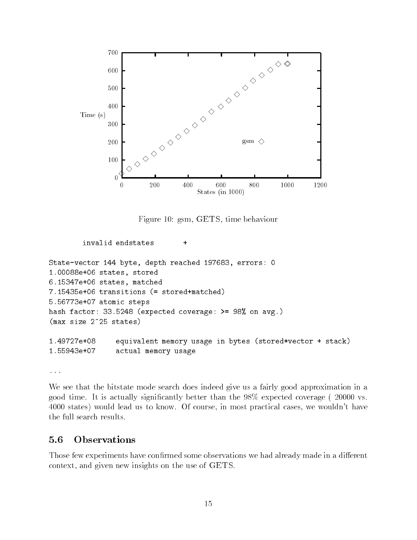

Figure 10: gsm, GETS, time behaviour

invalid endstates

```
State-vector 144 byte, depth reached 197683, errors: 0
1.00088e+06 states, stored
6.15347e+06 states, matched
7.15435e+06 transitions (= stored+matched)
5.56773e+07 atomic steps
hash factor: 33.5248 (expected coverage: >= 98% on avg.)
(max size 2^25 states)
1.49727e+08 equivalent memory usage in bytes (stored*vector + stack)
1.55943e+07
                actual memory usage
```
 $\ddot{}$ 

...

We see that the bitstate mode search does indeed give us a fairly good approximation in a good time. It is actually signicantly better than the 98% expected coverage ( 20000 vs. 4000 states) would lead us to know. Of course, in most practical cases, we wouldn't have the full search results.

#### $5.6$ Observations  $-$ Observations

Those few experiments have confirmed some observations we had already made in a different context, and given new insights on the use of GETS.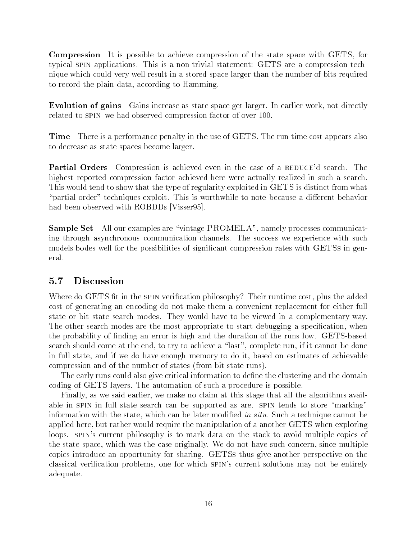Compression It is possible to achieve compression of the state space with GETS, for typical spin applications. This is a non-trivial statement: GETS are a compression technique which could very well result in a stored space larger than the number of bits required to record the plain data, according to Hamming.

Evolution of gains Gains increase as state space get larger. In earlier work, not directly related to spin we had observed compression factor of over 100.

Time There is a performance penalty in the use of GETS. The run time cost appears also to decrease as state spaces become larger.

**Partial Orders** Compression is achieved even in the case of a REDUCE'd search. The highest reported compression factor achieved here were actually realized in such a search. This would tend to show that the type of regularity exploited in GETS is distinct from what "partial order" techniques exploit. This is worthwhile to note because a different behavior had been observed with ROBDDs [Visser95].

Sample Set All our examples are \vintage PROMELA", namely processes communicating through asynchronous communication channels. The success we experience with such models bodes well for the possibilities of significant compression rates with GETSs in general.

#### 5.7Discussion

Where do GETS fit in the spin verification philosophy? Their runtime cost, plus the added cost of generating an encoding do not make them a convenient replacement for either full state or bit state search modes. They would have to be viewed in a complementary way. The other search modes are the most appropriate to start debugging a specification, when the probability of nding an error is high and the duration of the runs low. GETS-based search should come at the end, to try to achieve a "last", complete run, if it cannot be done in full state, and if we do have enough memory to do it, based on estimates of achievable compression and of the number of states (from bit state runs).

The early runs could also give critical information to define the clustering and the domain coding of GETS layers. The automation of such a procedure is possible.

Finally, as we said earlier, we make no claim at this stage that all the algorithms available in SPIN in full state search can be supported as are. SPIN tends to store "marking" information with the state, which can be later modified in situ. Such a technique cannot be applied here, but rather would require the manipulation of a another GETS when exploring loops. SPIN's current philosophy is to mark data on the stack to avoid multiple copies of the state space, which was the case originally. We do not have such concern, since multiple copies introduce an opportunity for sharing. GETSs thus give another perspective on the classical verication problems, one for which spin's current solutions may not be entirely adequate.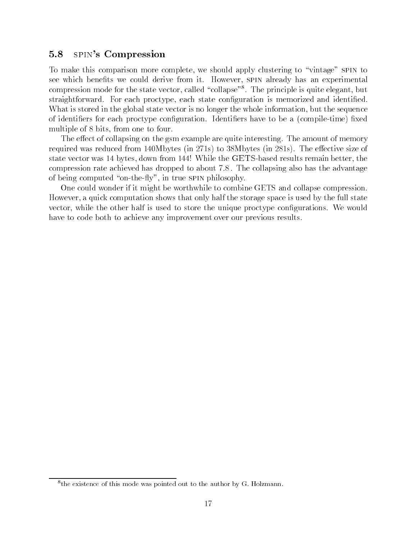#### 5.8spin's Compression

To make this comparison more complete, we should apply clustering to \vintage" spin to see which benefits we could derive from it. However, SPIN already has an experimental compression mode for the state vector, called \collapse\rightaled principle is quite elegant, but straightforward. For each proctype, each state configuration is memorized and identified. What is stored in the global state vector is no longer the whole information, but the sequence of identifiers for each proctype configuration. Identifiers have to be a (compile-time) fixed multiple of 8 bits, from one to four.

The effect of collapsing on the gsm example are quite interesting. The amount of memory required was reduced from  $140M$ bytes (in 271s) to 38Mbytes (in 281s). The effective size of state vector was 14 bytes, down from 144! While the GETS-based results remain better, the compression rate achieved has dropped to about 7.8 . The collapsing also has the advantage of being computed "on-the-fly", in true  $\text{SPIN}$  philosophy.

One could wonder if it might be worthwhile to combine GETS and collapse compression. However, a quick computation shows that only half the storage space is used by the full state vector, while the other half is used to store the unique proctype congurations. We would have to code both to achieve any improvement over our previous results.

the existence of this mode was pointed out to the author by G. Holzmann.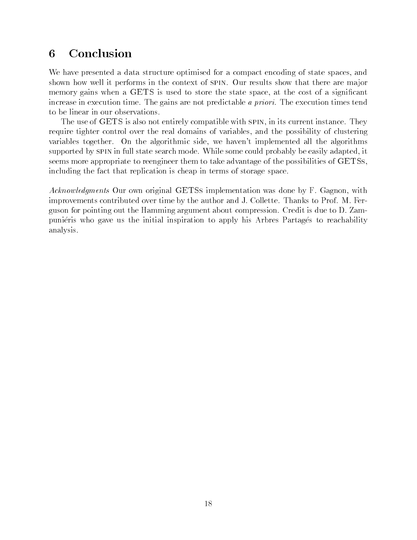#### **Conclusion** 6

We have presented a data structure optimised for a compact encoding of state spaces, and shown how well it performs in the context of SPIN. Our results show that there are major memory gains when a GETS is used to store the state space, at the cost of a significant increase in execution time. The gains are not predictable a priori. The execution times tend to be linear in our observations.

The use of GETS is also not entirely compatible with spin, in its current instance. They require tighter control over the real domains of variables, and the possibility of clustering variables together. On the algorithmic side, we haven't implemented all the algorithms supported by SPIN in full state search mode. While some could probably be easily adapted, it seems more appropriate to reengineer them to take advantage of the possibilities of GETSs, including the fact that replication is cheap in terms of storage space.

Acknowledgments Our own original GETSs implementation was done by F. Gagnon, with improvements contributed over time by the author and J. Collette. Thanks to Prof. M. Ferguson for pointing out the Hamming argument about compression. Credit is due to D. Zampuniéris who gave us the initial inspiration to apply his Arbres Partagés to reachability analysis.